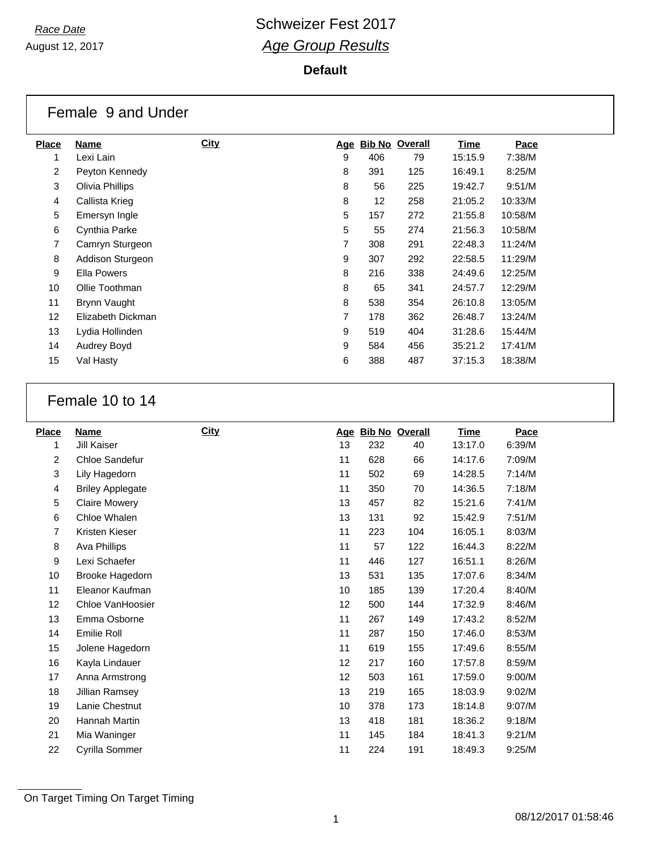#### **Default**

|              | Female 9 and Under |             |                |     |                       |         |         |  |
|--------------|--------------------|-------------|----------------|-----|-----------------------|---------|---------|--|
| <b>Place</b> | Name               | <b>City</b> | <u>Age</u>     |     | <b>Bib No Overall</b> | Time    | Pace    |  |
| 1            | Lexi Lain          |             | 9              | 406 | 79                    | 15:15.9 | 7:38/M  |  |
| 2            | Peyton Kennedy     |             | 8              | 391 | 125                   | 16:49.1 | 8:25/M  |  |
| 3            | Olivia Phillips    |             | 8              | 56  | 225                   | 19:42.7 | 9:51/M  |  |
| 4            | Callista Krieg     |             | 8              | 12  | 258                   | 21:05.2 | 10:33/M |  |
| 5            | Emersyn Ingle      |             | 5              | 157 | 272                   | 21:55.8 | 10:58/M |  |
| 6            | Cynthia Parke      |             | 5              | 55  | 274                   | 21:56.3 | 10:58/M |  |
| 7            | Camryn Sturgeon    |             | $\overline{7}$ | 308 | 291                   | 22:48.3 | 11:24/M |  |
| 8            | Addison Sturgeon   |             | 9              | 307 | 292                   | 22:58.5 | 11:29/M |  |
| 9            | <b>Ella Powers</b> |             | 8              | 216 | 338                   | 24:49.6 | 12:25/M |  |
| 10           | Ollie Toothman     |             | 8              | 65  | 341                   | 24:57.7 | 12:29/M |  |
| 11           | Brynn Vaught       |             | 8              | 538 | 354                   | 26:10.8 | 13:05/M |  |
| 12           | Elizabeth Dickman  |             | 7              | 178 | 362                   | 26:48.7 | 13:24/M |  |
| 13           | Lydia Hollinden    |             | 9              | 519 | 404                   | 31:28.6 | 15:44/M |  |
| 14           | Audrey Boyd        |             | 9              | 584 | 456                   | 35:21.2 | 17:41/M |  |
| 15           | Val Hasty          |             | 6              | 388 | 487                   | 37:15.3 | 18:38/M |  |
|              |                    |             |                |     |                       |         |         |  |

## Female 10 to 14

| <b>Place</b> | Name                    | <b>City</b> |    | Age Bib No Overall |     | <b>Time</b> | Pace   |
|--------------|-------------------------|-------------|----|--------------------|-----|-------------|--------|
| 1            | <b>Jill Kaiser</b>      |             | 13 | 232                | 40  | 13:17.0     | 6:39/M |
| 2            | Chloe Sandefur          |             | 11 | 628                | 66  | 14:17.6     | 7:09/M |
| 3            | Lily Hagedorn           |             | 11 | 502                | 69  | 14:28.5     | 7:14/M |
| 4            | <b>Briley Applegate</b> |             | 11 | 350                | 70  | 14:36.5     | 7:18/M |
| 5            | <b>Claire Mowery</b>    |             | 13 | 457                | 82  | 15:21.6     | 7:41/M |
| 6            | Chloe Whalen            |             | 13 | 131                | 92  | 15:42.9     | 7:51/M |
| 7            | Kristen Kieser          |             | 11 | 223                | 104 | 16:05.1     | 8:03/M |
| 8            | Ava Phillips            |             | 11 | 57                 | 122 | 16:44.3     | 8:22/M |
| 9            | Lexi Schaefer           |             | 11 | 446                | 127 | 16:51.1     | 8:26/M |
| 10           | Brooke Hagedorn         |             | 13 | 531                | 135 | 17:07.6     | 8:34/M |
| 11           | Eleanor Kaufman         |             | 10 | 185                | 139 | 17:20.4     | 8:40/M |
| 12           | Chloe VanHoosier        |             | 12 | 500                | 144 | 17:32.9     | 8:46/M |
| 13           | Emma Osborne            |             | 11 | 267                | 149 | 17:43.2     | 8:52/M |
| 14           | Emilie Roll             |             | 11 | 287                | 150 | 17:46.0     | 8:53/M |
| 15           | Jolene Hagedorn         |             | 11 | 619                | 155 | 17:49.6     | 8:55/M |
| 16           | Kayla Lindauer          |             | 12 | 217                | 160 | 17:57.8     | 8:59/M |
| 17           | Anna Armstrong          |             | 12 | 503                | 161 | 17:59.0     | 9:00/M |
| 18           | Jillian Ramsey          |             | 13 | 219                | 165 | 18:03.9     | 9:02/M |
| 19           | Lanie Chestnut          |             | 10 | 378                | 173 | 18:14.8     | 9:07/M |
| 20           | Hannah Martin           |             | 13 | 418                | 181 | 18:36.2     | 9:18/M |
| 21           | Mia Waninger            |             | 11 | 145                | 184 | 18:41.3     | 9:21/M |
| 22           | Cyrilla Sommer          |             | 11 | 224                | 191 | 18:49.3     | 9:25/M |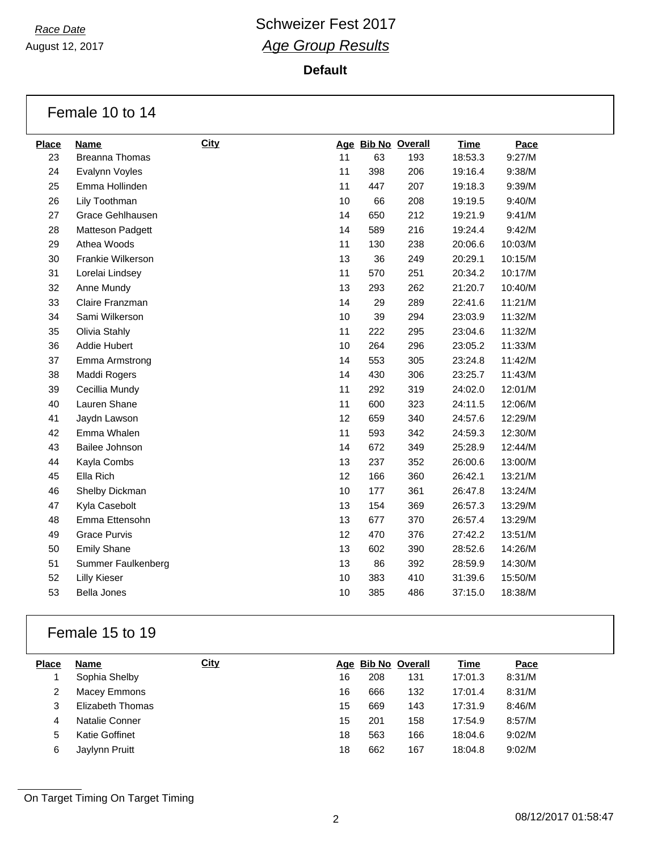August 12, 2017

**Default**

|              | Female 10 to 14       |      |    |     |                    |             |         |
|--------------|-----------------------|------|----|-----|--------------------|-------------|---------|
| <b>Place</b> | <b>Name</b>           | City |    |     | Age Bib No Overall | <b>Time</b> | Pace    |
| 23           | <b>Breanna Thomas</b> |      | 11 | 63  | 193                | 18:53.3     | 9:27/M  |
| 24           | Evalynn Voyles        |      | 11 | 398 | 206                | 19:16.4     | 9:38/M  |
| 25           | Emma Hollinden        |      | 11 | 447 | 207                | 19:18.3     | 9:39/M  |
| 26           | Lily Toothman         |      | 10 | 66  | 208                | 19:19.5     | 9:40/M  |
| 27           | Grace Gehlhausen      |      | 14 | 650 | 212                | 19:21.9     | 9:41/M  |
| 28           | Matteson Padgett      |      | 14 | 589 | 216                | 19:24.4     | 9:42/M  |
| 29           | Athea Woods           |      | 11 | 130 | 238                | 20:06.6     | 10:03/M |
| 30           | Frankie Wilkerson     |      | 13 | 36  | 249                | 20:29.1     | 10:15/M |
| 31           | Lorelai Lindsey       |      | 11 | 570 | 251                | 20:34.2     | 10:17/M |
| 32           | Anne Mundy            |      | 13 | 293 | 262                | 21:20.7     | 10:40/M |
| 33           | Claire Franzman       |      | 14 | 29  | 289                | 22:41.6     | 11:21/M |
| 34           | Sami Wilkerson        |      | 10 | 39  | 294                | 23:03.9     | 11:32/M |
| 35           | Olivia Stahly         |      | 11 | 222 | 295                | 23:04.6     | 11:32/M |
| 36           | Addie Hubert          |      | 10 | 264 | 296                | 23:05.2     | 11:33/M |
| 37           | Emma Armstrong        |      | 14 | 553 | 305                | 23:24.8     | 11:42/M |
| 38           | Maddi Rogers          |      | 14 | 430 | 306                | 23:25.7     | 11:43/M |
| 39           | Cecillia Mundy        |      | 11 | 292 | 319                | 24:02.0     | 12:01/M |
| 40           | Lauren Shane          |      | 11 | 600 | 323                | 24:11.5     | 12:06/M |
| 41           | Jaydn Lawson          |      | 12 | 659 | 340                | 24:57.6     | 12:29/M |
| 42           | Emma Whalen           |      | 11 | 593 | 342                | 24:59.3     | 12:30/M |
| 43           | Bailee Johnson        |      | 14 | 672 | 349                | 25:28.9     | 12:44/M |
| 44           | Kayla Combs           |      | 13 | 237 | 352                | 26:00.6     | 13:00/M |
| 45           | Ella Rich             |      | 12 | 166 | 360                | 26:42.1     | 13:21/M |
| 46           | Shelby Dickman        |      | 10 | 177 | 361                | 26:47.8     | 13:24/M |
| 47           | Kyla Casebolt         |      | 13 | 154 | 369                | 26:57.3     | 13:29/M |
| 48           | Emma Ettensohn        |      | 13 | 677 | 370                | 26:57.4     | 13:29/M |
| 49           | <b>Grace Purvis</b>   |      | 12 | 470 | 376                | 27:42.2     | 13:51/M |
| 50           | <b>Emily Shane</b>    |      | 13 | 602 | 390                | 28:52.6     | 14:26/M |
| 51           | Summer Faulkenberg    |      | 13 | 86  | 392                | 28:59.9     | 14:30/M |
| 52           | <b>Lilly Kieser</b>   |      | 10 | 383 | 410                | 31:39.6     | 15:50/M |
| 53           | <b>Bella Jones</b>    |      | 10 | 385 | 486                | 37:15.0     | 18:38/M |
|              |                       |      |    |     |                    |             |         |

### Female 15 to 19

| <b>Place</b> | Name             | <b>City</b> |    | Age Bib No Overall |     | Time    | Pace   |
|--------------|------------------|-------------|----|--------------------|-----|---------|--------|
|              | Sophia Shelby    |             | 16 | 208                | 131 | 17:01.3 | 8:31/M |
| 2            | Macey Emmons     |             | 16 | 666                | 132 | 17:01.4 | 8:31/M |
| 3            | Elizabeth Thomas |             | 15 | 669                | 143 | 17:31.9 | 8:46/M |
| 4            | Natalie Conner   |             | 15 | 201                | 158 | 17:54.9 | 8:57/M |
| 5            | Katie Goffinet   |             | 18 | 563                | 166 | 18:04.6 | 9:02/M |
| 6            | Jaylynn Pruitt   |             | 18 | 662                | 167 | 18:04.8 | 9:02/M |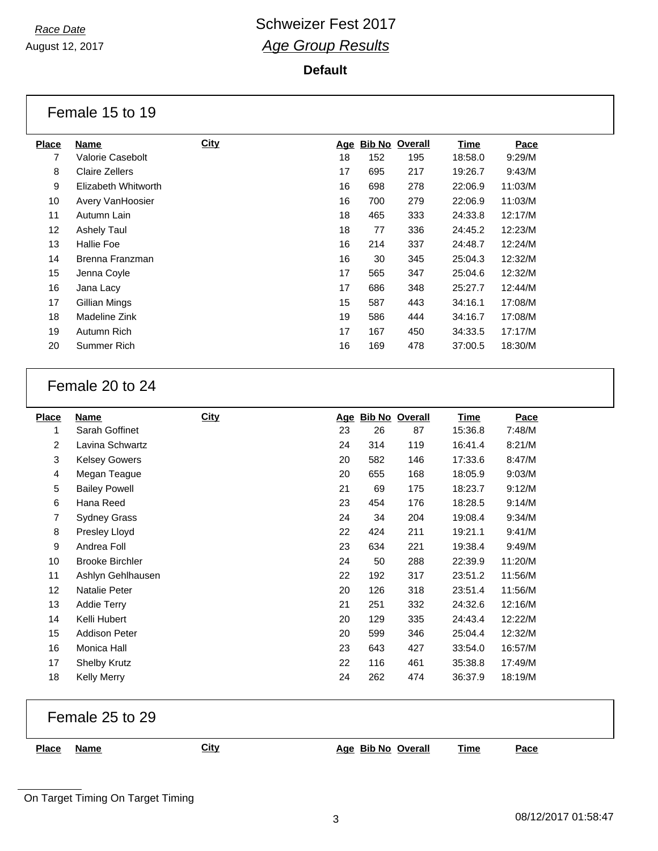August 12, 2017

#### **Default**

|              | Female 15 to 19     |             |    |                    |     |         |         |
|--------------|---------------------|-------------|----|--------------------|-----|---------|---------|
| <b>Place</b> | Name                | <u>City</u> |    | Age Bib No Overall |     | Time    | Pace    |
|              | Valorie Casebolt    |             | 18 | 152                | 195 | 18:58.0 | 9:29/M  |
| 8            | Claire Zellers      |             | 17 | 695                | 217 | 19:26.7 | 9:43/M  |
| 9            | Elizabeth Whitworth |             | 16 | 698                | 278 | 22:06.9 | 11:03/M |
| 10           | Avery VanHoosier    |             | 16 | 700                | 279 | 22:06.9 | 11:03/M |

| 9               | Elizabeth Whitworth | 16 | 698 | 278 | 22:06.9 | 11:03/M |
|-----------------|---------------------|----|-----|-----|---------|---------|
| 10              | Avery VanHoosier    | 16 | 700 | 279 | 22:06.9 | 11:03/M |
| 11              | Autumn Lain         | 18 | 465 | 333 | 24:33.8 | 12:17/M |
| 12 <sup>2</sup> | <b>Ashely Taul</b>  | 18 | 77  | 336 | 24:45.2 | 12:23/M |
| 13              | Hallie Foe          | 16 | 214 | 337 | 24:48.7 | 12:24/M |
| 14              | Brenna Franzman     | 16 | 30  | 345 | 25:04.3 | 12:32/M |
| 15              | Jenna Coyle         | 17 | 565 | 347 | 25:04.6 | 12:32/M |
| 16              | Jana Lacy           | 17 | 686 | 348 | 25:27.7 | 12:44/M |
| 17              | Gillian Mings       | 15 | 587 | 443 | 34:16.1 | 17:08/M |
| 18              | Madeline Zink       | 19 | 586 | 444 | 34:16.7 | 17:08/M |
| 19              | Autumn Rich         | 17 | 167 | 450 | 34:33.5 | 17:17/M |
| 20              | Summer Rich         | 16 | 169 | 478 | 37:00.5 | 18:30/M |

### Female 20 to 24

| <b>Place</b>   | Name                   | <b>City</b> | <u>Age</u> |     | <b>Bib No Overall</b> | <b>Time</b> | Pace    |
|----------------|------------------------|-------------|------------|-----|-----------------------|-------------|---------|
| 1              | Sarah Goffinet         |             | 23         | 26  | 87                    | 15:36.8     | 7:48/M  |
| $\overline{2}$ | Lavina Schwartz        |             | 24         | 314 | 119                   | 16:41.4     | 8:21/M  |
| 3              | <b>Kelsey Gowers</b>   |             | 20         | 582 | 146                   | 17:33.6     | 8:47/M  |
| 4              | Megan Teague           |             | 20         | 655 | 168                   | 18:05.9     | 9:03/M  |
| 5              | <b>Bailey Powell</b>   |             | 21         | 69  | 175                   | 18:23.7     | 9:12/M  |
| 6              | Hana Reed              |             | 23         | 454 | 176                   | 18:28.5     | 9:14/M  |
| 7              | <b>Sydney Grass</b>    |             | 24         | 34  | 204                   | 19:08.4     | 9:34/M  |
| 8              | Presley Lloyd          |             | 22         | 424 | 211                   | 19:21.1     | 9:41/M  |
| 9              | Andrea Foll            |             | 23         | 634 | 221                   | 19:38.4     | 9:49/M  |
| 10             | <b>Brooke Birchler</b> |             | 24         | 50  | 288                   | 22:39.9     | 11:20/M |
| 11             | Ashlyn Gehlhausen      |             | 22         | 192 | 317                   | 23:51.2     | 11:56/M |
| 12             | Natalie Peter          |             | 20         | 126 | 318                   | 23:51.4     | 11:56/M |
| 13             | <b>Addie Terry</b>     |             | 21         | 251 | 332                   | 24:32.6     | 12:16/M |
| 14             | Kelli Hubert           |             | 20         | 129 | 335                   | 24:43.4     | 12:22/M |
| 15             | <b>Addison Peter</b>   |             | 20         | 599 | 346                   | 25:04.4     | 12:32/M |
| 16             | Monica Hall            |             | 23         | 643 | 427                   | 33:54.0     | 16:57/M |
| 17             | <b>Shelby Krutz</b>    |             | 22         | 116 | 461                   | 35:38.8     | 17:49/M |
| 18             | <b>Kelly Merry</b>     |             | 24         | 262 | 474                   | 36:37.9     | 18:19/M |

|       | Female 25 to 29 |      |                    |             |      |
|-------|-----------------|------|--------------------|-------------|------|
| Place | <b>Name</b>     | City | Age Bib No Overall | <u>Time</u> | Pace |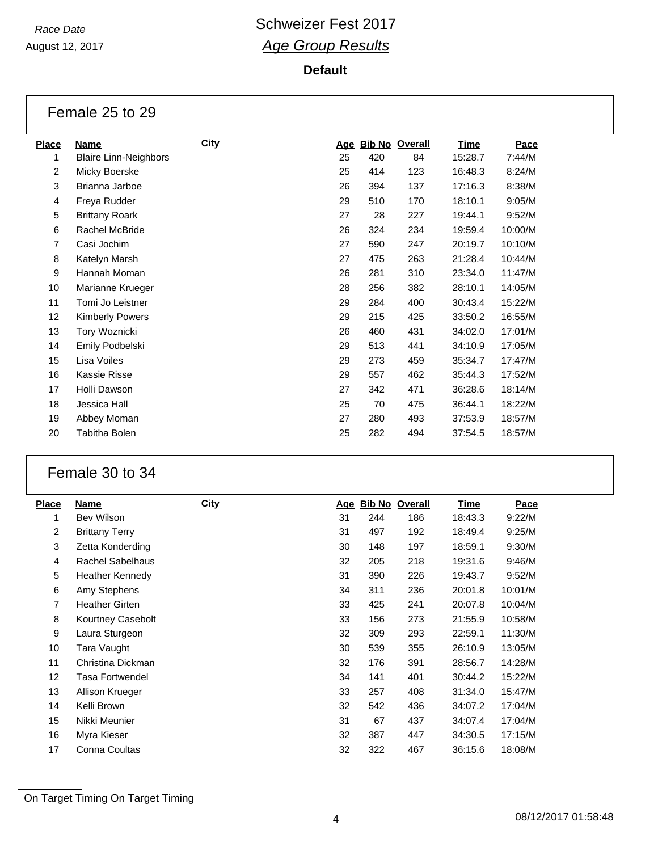August 12, 2017

# **Race Date Race Date Race Date Race Date Race Date Race Date Race Date Race Date Race 2017** *Age Group Results*

#### **Default**

| Female 25 to 29 |  |  |  |
|-----------------|--|--|--|
|-----------------|--|--|--|

| <b>Place</b>   | Name                         | <b>City</b> | <u>Age</u> |     | <b>Bib No Overall</b> | <u>Time</u> | Pace    |
|----------------|------------------------------|-------------|------------|-----|-----------------------|-------------|---------|
| 1              | <b>Blaire Linn-Neighbors</b> |             | 25         | 420 | 84                    | 15:28.7     | 7:44/M  |
| $\overline{c}$ | Micky Boerske                |             | 25         | 414 | 123                   | 16:48.3     | 8:24/M  |
| 3              | Brianna Jarboe               |             | 26         | 394 | 137                   | 17:16.3     | 8:38/M  |
| 4              | Freya Rudder                 |             | 29         | 510 | 170                   | 18:10.1     | 9:05/M  |
| 5              | <b>Brittany Roark</b>        |             | 27         | 28  | 227                   | 19:44.1     | 9:52/M  |
| 6              | Rachel McBride               |             | 26         | 324 | 234                   | 19:59.4     | 10:00/M |
| 7              | Casi Jochim                  |             | 27         | 590 | 247                   | 20:19.7     | 10:10/M |
| 8              | Katelyn Marsh                |             | 27         | 475 | 263                   | 21:28.4     | 10:44/M |
| 9              | Hannah Moman                 |             | 26         | 281 | 310                   | 23:34.0     | 11:47/M |
| 10             | Marianne Krueger             |             | 28         | 256 | 382                   | 28:10.1     | 14:05/M |
| 11             | Tomi Jo Leistner             |             | 29         | 284 | 400                   | 30:43.4     | 15:22/M |
| 12             | <b>Kimberly Powers</b>       |             | 29         | 215 | 425                   | 33:50.2     | 16:55/M |
| 13             | Tory Woznicki                |             | 26         | 460 | 431                   | 34:02.0     | 17:01/M |
| 14             | Emily Podbelski              |             | 29         | 513 | 441                   | 34:10.9     | 17:05/M |
| 15             | Lisa Voiles                  |             | 29         | 273 | 459                   | 35:34.7     | 17:47/M |
| 16             | Kassie Risse                 |             | 29         | 557 | 462                   | 35:44.3     | 17:52/M |
| 17             | Holli Dawson                 |             | 27         | 342 | 471                   | 36:28.6     | 18:14/M |
| 18             | Jessica Hall                 |             | 25         | 70  | 475                   | 36:44.1     | 18:22/M |
| 19             | Abbey Moman                  |             | 27         | 280 | 493                   | 37:53.9     | 18:57/M |
| 20             | Tabitha Bolen                |             | 25         | 282 | 494                   | 37:54.5     | 18:57/M |
|                |                              |             |            |     |                       |             |         |

### Female 30 to 34

| <b>Place</b> | Name                    | <b>City</b> | <u>Age</u> | <u>Bib No</u> | <b>Overall</b> | <b>Time</b> | Pace    |
|--------------|-------------------------|-------------|------------|---------------|----------------|-------------|---------|
| 1            | <b>Bev Wilson</b>       |             | 31         | 244           | 186            | 18:43.3     | 9:22/M  |
| 2            | <b>Brittany Terry</b>   |             | 31         | 497           | 192            | 18:49.4     | 9:25/M  |
| 3            | Zetta Konderding        |             | 30         | 148           | 197            | 18:59.1     | 9:30/M  |
| 4            | <b>Rachel Sabelhaus</b> |             | 32         | 205           | 218            | 19:31.6     | 9:46/M  |
| 5            | Heather Kennedy         |             | 31         | 390           | 226            | 19:43.7     | 9:52/M  |
| 6            | Amy Stephens            |             | 34         | 311           | 236            | 20:01.8     | 10:01/M |
| 7            | <b>Heather Girten</b>   |             | 33         | 425           | 241            | 20:07.8     | 10:04/M |
| 8            | Kourtney Casebolt       |             | 33         | 156           | 273            | 21:55.9     | 10:58/M |
| 9            | Laura Sturgeon          |             | 32         | 309           | 293            | 22:59.1     | 11:30/M |
| 10           | Tara Vaught             |             | 30         | 539           | 355            | 26:10.9     | 13:05/M |
| 11           | Christina Dickman       |             | 32         | 176           | 391            | 28:56.7     | 14:28/M |
| 12           | Tasa Fortwendel         |             | 34         | 141           | 401            | 30:44.2     | 15:22/M |
| 13           | Allison Krueger         |             | 33         | 257           | 408            | 31:34.0     | 15:47/M |
| 14           | Kelli Brown             |             | 32         | 542           | 436            | 34:07.2     | 17:04/M |
| 15           | Nikki Meunier           |             | 31         | 67            | 437            | 34:07.4     | 17:04/M |
| 16           | Myra Kieser             |             | 32         | 387           | 447            | 34:30.5     | 17:15/M |
| 17           | Conna Coultas           |             | 32         | 322           | 467            | 36:15.6     | 18:08/M |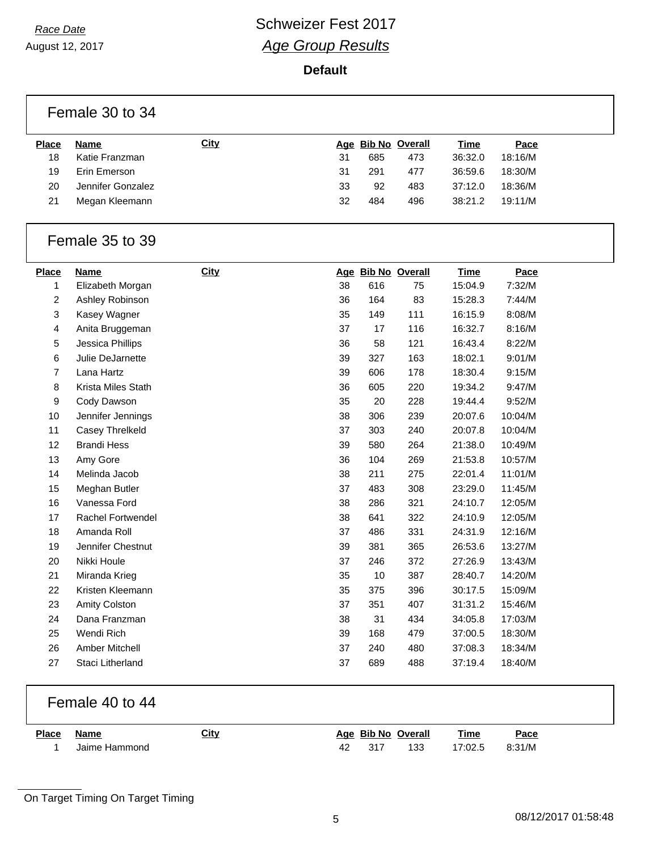August 12, 2017

**Default**

|                  | Female 30 to 34          |             |    |     |                    |             |         |
|------------------|--------------------------|-------------|----|-----|--------------------|-------------|---------|
| <b>Place</b>     | Name                     | <b>City</b> |    |     | Age Bib No Overall | <b>Time</b> | Pace    |
| 18               | Katie Franzman           |             | 31 | 685 | 473                | 36:32.0     | 18:16/M |
| 19               | Erin Emerson             |             | 31 | 291 | 477                | 36:59.6     | 18:30/M |
| 20               | Jennifer Gonzalez        |             | 33 | 92  | 483                | 37:12.0     | 18:36/M |
| 21               | Megan Kleemann           |             | 32 | 484 | 496                | 38:21.2     | 19:11/M |
|                  | Female 35 to 39          |             |    |     |                    |             |         |
| <b>Place</b>     | <b>Name</b>              | City        |    |     | Age Bib No Overall | <b>Time</b> | Pace    |
| 1                | Elizabeth Morgan         |             | 38 | 616 | 75                 | 15:04.9     | 7:32/M  |
| $\overline{2}$   | Ashley Robinson          |             | 36 | 164 | 83                 | 15:28.3     | 7:44/M  |
| 3                | Kasey Wagner             |             | 35 | 149 | 111                | 16:15.9     | 8:08/M  |
| 4                | Anita Bruggeman          |             | 37 | 17  | 116                | 16:32.7     | 8:16/M  |
| 5                | Jessica Phillips         |             | 36 | 58  | 121                | 16:43.4     | 8:22/M  |
| 6                | Julie DeJarnette         |             | 39 | 327 | 163                | 18:02.1     | 9:01/M  |
| $\overline{7}$   | Lana Hartz               |             | 39 | 606 | 178                | 18:30.4     | 9:15/M  |
| 8                | Krista Miles Stath       |             | 36 | 605 | 220                | 19:34.2     | 9:47/M  |
| $\boldsymbol{9}$ | Cody Dawson              |             | 35 | 20  | 228                | 19:44.4     | 9:52/M  |
| 10               | Jennifer Jennings        |             | 38 | 306 | 239                | 20:07.6     | 10:04/M |
| 11               | Casey Threlkeld          |             | 37 | 303 | 240                | 20:07.8     | 10:04/M |
| 12               | <b>Brandi Hess</b>       |             | 39 | 580 | 264                | 21:38.0     | 10:49/M |
| 13               | Amy Gore                 |             | 36 | 104 | 269                | 21:53.8     | 10:57/M |
| 14               | Melinda Jacob            |             | 38 | 211 | 275                | 22:01.4     | 11:01/M |
| 15               | Meghan Butler            |             | 37 | 483 | 308                | 23:29.0     | 11:45/M |
| 16               | Vanessa Ford             |             | 38 | 286 | 321                | 24:10.7     | 12:05/M |
| 17               | <b>Rachel Fortwendel</b> |             | 38 | 641 | 322                | 24:10.9     | 12:05/M |
| 18               | Amanda Roll              |             | 37 | 486 | 331                | 24:31.9     | 12:16/M |
| 19               | Jennifer Chestnut        |             | 39 | 381 | 365                | 26:53.6     | 13:27/M |
| 20               | Nikki Houle              |             | 37 | 246 | 372                | 27:26.9     | 13:43/M |
| 21               | Miranda Krieg            |             | 35 | 10  | 387                | 28:40.7     | 14:20/M |
| 22               | Kristen Kleemann         |             | 35 | 375 | 396                | 30:17.5     | 15:09/M |
| 23               | Amity Colston            |             | 37 | 351 | 407                | 31:31.2     | 15:46/M |
| 24               | Dana Franzman            |             | 38 | 31  | 434                | 34:05.8     | 17:03/M |
| 25               | Wendi Rich               |             | 39 | 168 | 479                | 37:00.5     | 18:30/M |
| 26               | Amber Mitchell           |             | 37 | 240 | 480                | 37:08.3     | 18:34/M |
| 27               | Staci Litherland         |             | 37 | 689 | 488                | 37:19.4     | 18:40/M |
|                  |                          |             |    |     |                    |             |         |

### Female 40 to 44

| <b>Place</b> | Name          | <b>City</b> |    |      | Age Bib No Overall | <b>Time</b> | <u>Pace</u> |
|--------------|---------------|-------------|----|------|--------------------|-------------|-------------|
|              | Jaime Hammond |             | 42 | -317 | 133                | 17:02.5     | 8:31/M      |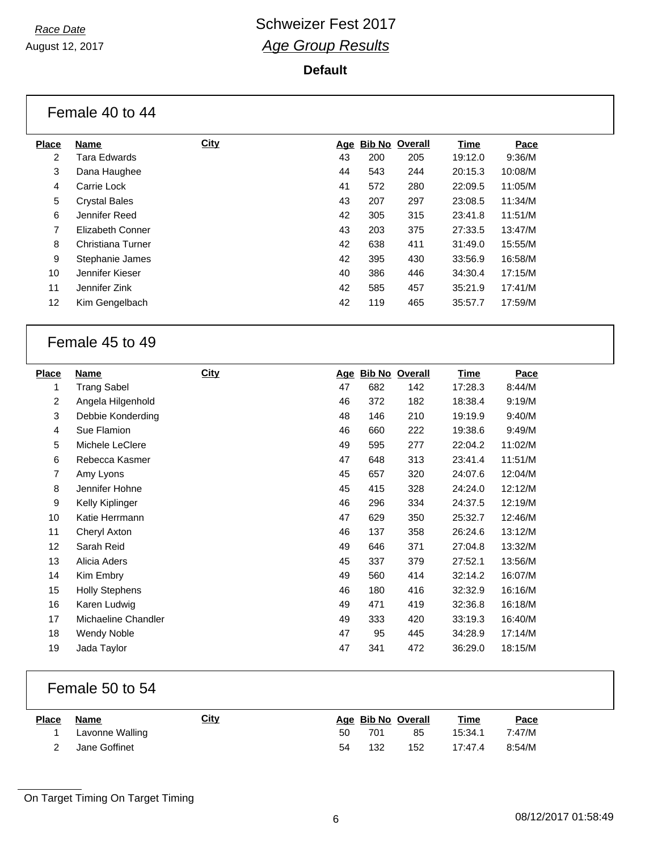August 12, 2017

#### **Default**

|              | Female 40 to 44      |             |    |                    |     |         |         |  |
|--------------|----------------------|-------------|----|--------------------|-----|---------|---------|--|
| <b>Place</b> | Name                 | <b>City</b> |    | Age Bib No Overall |     | Time    | Pace    |  |
| 2            | Tara Edwards         |             | 43 | 200                | 205 | 19:12.0 | 9:36/M  |  |
| 3            | Dana Haughee         |             | 44 | 543                | 244 | 20:15.3 | 10:08/M |  |
| 4            | Carrie Lock          |             | 41 | 572                | 280 | 22:09.5 | 11:05/M |  |
| 5            | <b>Crystal Bales</b> |             | 43 | 207                | 297 | 23:08.5 | 11:34/M |  |
| 6            | Jennifer Reed        |             | 42 | 305                | 315 | 23:41.8 | 11:51/M |  |
| 7            | Elizabeth Conner     |             | 43 | 203                | 375 | 27:33.5 | 13:47/M |  |
| 8            | Christiana Turner    |             | 42 | 638                | 411 | 31:49.0 | 15:55/M |  |
| 9            | Stephanie James      |             | 42 | 395                | 430 | 33:56.9 | 16:58/M |  |
| 10           | Jennifer Kieser      |             | 40 | 386                | 446 | 34:30.4 | 17:15/M |  |
| 11           | Jennifer Zink        |             | 42 | 585                | 457 | 35:21.9 | 17:41/M |  |
| 12           | Kim Gengelbach       |             | 42 | 119                | 465 | 35:57.7 | 17:59/M |  |
|              |                      |             |    |                    |     |         |         |  |

### Female 45 to 49

| <b>Place</b>   | Name                  | <b>City</b> | <u>Age</u> |     | <b>Bib No Overall</b> | <b>Time</b> | Pace    |
|----------------|-----------------------|-------------|------------|-----|-----------------------|-------------|---------|
| 1              | <b>Trang Sabel</b>    |             | 47         | 682 | 142                   | 17:28.3     | 8:44/M  |
| 2              | Angela Hilgenhold     |             | 46         | 372 | 182                   | 18:38.4     | 9:19/M  |
| 3              | Debbie Konderding     |             | 48         | 146 | 210                   | 19:19.9     | 9:40/M  |
| 4              | Sue Flamion           |             | 46         | 660 | 222                   | 19:38.6     | 9:49/M  |
| 5              | Michele LeClere       |             | 49         | 595 | 277                   | 22:04.2     | 11:02/M |
| 6              | Rebecca Kasmer        |             | 47         | 648 | 313                   | 23:41.4     | 11:51/M |
| $\overline{7}$ | Amy Lyons             |             | 45         | 657 | 320                   | 24:07.6     | 12:04/M |
| 8              | Jennifer Hohne        |             | 45         | 415 | 328                   | 24:24.0     | 12:12/M |
| 9              | Kelly Kiplinger       |             | 46         | 296 | 334                   | 24:37.5     | 12:19/M |
| 10             | Katie Herrmann        |             | 47         | 629 | 350                   | 25:32.7     | 12:46/M |
| 11             | Cheryl Axton          |             | 46         | 137 | 358                   | 26:24.6     | 13:12/M |
| 12             | Sarah Reid            |             | 49         | 646 | 371                   | 27:04.8     | 13:32/M |
| 13             | Alicia Aders          |             | 45         | 337 | 379                   | 27:52.1     | 13:56/M |
| 14             | Kim Embry             |             | 49         | 560 | 414                   | 32:14.2     | 16:07/M |
| 15             | <b>Holly Stephens</b> |             | 46         | 180 | 416                   | 32:32.9     | 16:16/M |
| 16             | Karen Ludwig          |             | 49         | 471 | 419                   | 32:36.8     | 16:18/M |
| 17             | Michaeline Chandler   |             | 49         | 333 | 420                   | 33:19.3     | 16:40/M |
| 18             | Wendy Noble           |             | 47         | 95  | 445                   | 34:28.9     | 17:14/M |
| 19             | Jada Taylor           |             | 47         | 341 | 472                   | 36:29.0     | 18:15/M |

### Female 50 to 54

| <b>Place</b> | Name            | <u>City</u> |    | Age Bib No Overall |     | <b>Time</b> | Pace   |
|--------------|-----------------|-------------|----|--------------------|-----|-------------|--------|
|              | Lavonne Walling |             | 50 | 701                | 85  | 15:34.1     | 7:47/M |
|              | Jane Goffinet   |             | 54 | 132                | 152 | 17:47.4     | 8:54/M |

On Target Timing On Target Timing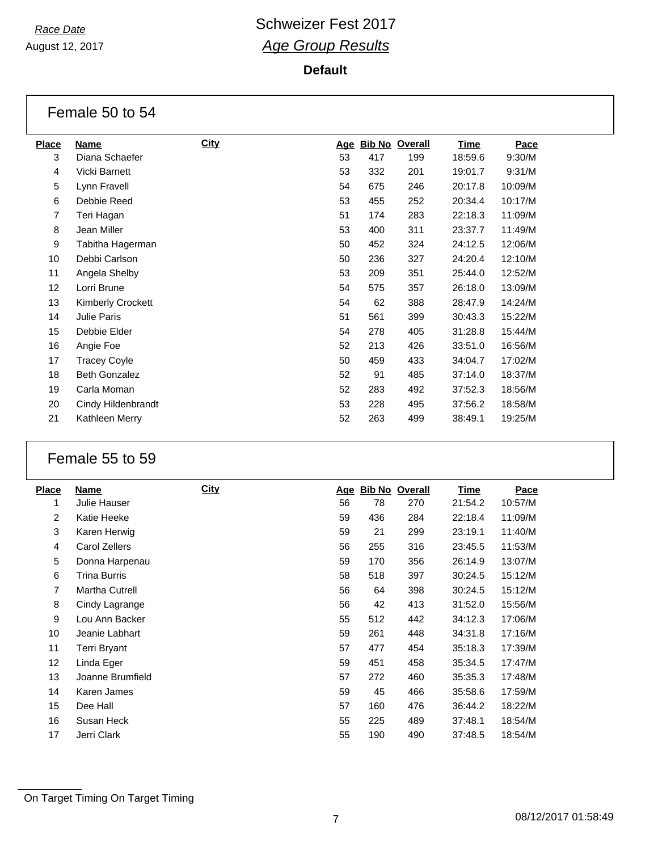August 12, 2017

#### **Default**

|              | Female 50 to 54      |      |    |     |                    |             |         |  |  |
|--------------|----------------------|------|----|-----|--------------------|-------------|---------|--|--|
| <b>Place</b> | Name                 | City |    |     | Age Bib No Overall | <b>Time</b> | Pace    |  |  |
| 3            | Diana Schaefer       |      | 53 | 417 | 199                | 18:59.6     | 9:30/M  |  |  |
| 4            | Vicki Barnett        |      | 53 | 332 | 201                | 19:01.7     | 9:31/M  |  |  |
| 5            | Lynn Fravell         |      | 54 | 675 | 246                | 20:17.8     | 10:09/M |  |  |
| 6            | Debbie Reed          |      | 53 | 455 | 252                | 20:34.4     | 10:17/M |  |  |
| 7            | Teri Hagan           |      | 51 | 174 | 283                | 22:18.3     | 11:09/M |  |  |
| 8            | Jean Miller          |      | 53 | 400 | 311                | 23:37.7     | 11:49/M |  |  |
| 9            | Tabitha Hagerman     |      | 50 | 452 | 324                | 24:12.5     | 12:06/M |  |  |
| 10           | Debbi Carlson        |      | 50 | 236 | 327                | 24:20.4     | 12:10/M |  |  |
| 11           | Angela Shelby        |      | 53 | 209 | 351                | 25:44.0     | 12:52/M |  |  |
| 12           | Lorri Brune          |      | 54 | 575 | 357                | 26:18.0     | 13:09/M |  |  |
| 13           | Kimberly Crockett    |      | 54 | 62  | 388                | 28:47.9     | 14:24/M |  |  |
| 14           | Julie Paris          |      | 51 | 561 | 399                | 30:43.3     | 15:22/M |  |  |
| 15           | Debbie Elder         |      | 54 | 278 | 405                | 31:28.8     | 15:44/M |  |  |
| 16           | Angie Foe            |      | 52 | 213 | 426                | 33:51.0     | 16:56/M |  |  |
| 17           | <b>Tracey Coyle</b>  |      | 50 | 459 | 433                | 34:04.7     | 17:02/M |  |  |
| 18           | <b>Beth Gonzalez</b> |      | 52 | 91  | 485                | 37:14.0     | 18:37/M |  |  |
| 19           | Carla Moman          |      | 52 | 283 | 492                | 37:52.3     | 18:56/M |  |  |
| 20           | Cindy Hildenbrandt   |      | 53 | 228 | 495                | 37:56.2     | 18:58/M |  |  |
| 21           | Kathleen Merry       |      | 52 | 263 | 499                | 38:49.1     | 19:25/M |  |  |

### Female 55 to 59

| <b>Place</b>    | Name                  | <b>City</b> | <u>Age</u> | <b>Bib No Overall</b> |     | Time    | Pace    |
|-----------------|-----------------------|-------------|------------|-----------------------|-----|---------|---------|
| 1               | Julie Hauser          |             | 56         | 78                    | 270 | 21:54.2 | 10:57/M |
| 2               | Katie Heeke           |             | 59         | 436                   | 284 | 22:18.4 | 11:09/M |
| 3               | Karen Herwig          |             | 59         | 21                    | 299 | 23:19.1 | 11:40/M |
| 4               | Carol Zellers         |             | 56         | 255                   | 316 | 23:45.5 | 11:53/M |
| 5               | Donna Harpenau        |             | 59         | 170                   | 356 | 26:14.9 | 13:07/M |
| 6               | Trina Burris          |             | 58         | 518                   | 397 | 30:24.5 | 15:12/M |
| $\overline{7}$  | <b>Martha Cutrell</b> |             | 56         | 64                    | 398 | 30:24.5 | 15:12/M |
| 8               | Cindy Lagrange        |             | 56         | 42                    | 413 | 31:52.0 | 15:56/M |
| 9               | Lou Ann Backer        |             | 55         | 512                   | 442 | 34:12.3 | 17:06/M |
| 10              | Jeanie Labhart        |             | 59         | 261                   | 448 | 34:31.8 | 17:16/M |
| 11              | Terri Bryant          |             | 57         | 477                   | 454 | 35:18.3 | 17:39/M |
| 12 <sup>2</sup> | Linda Eger            |             | 59         | 451                   | 458 | 35:34.5 | 17:47/M |
| 13              | Joanne Brumfield      |             | 57         | 272                   | 460 | 35:35.3 | 17:48/M |
| 14              | Karen James           |             | 59         | 45                    | 466 | 35:58.6 | 17:59/M |
| 15              | Dee Hall              |             | 57         | 160                   | 476 | 36:44.2 | 18:22/M |
| 16              | Susan Heck            |             | 55         | 225                   | 489 | 37:48.1 | 18:54/M |
| 17              | Jerri Clark           |             | 55         | 190                   | 490 | 37:48.5 | 18:54/M |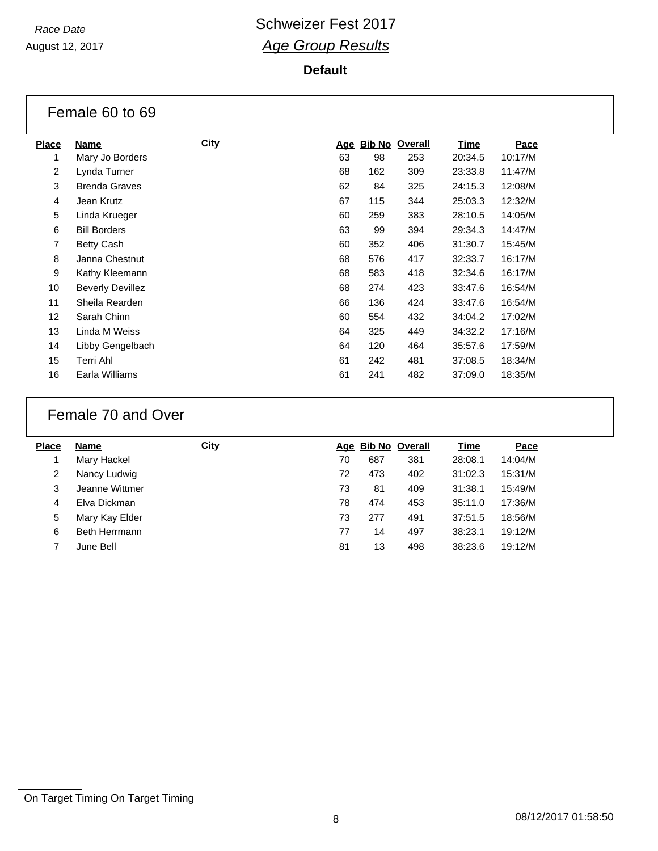August 12, 2017

#### **Default**

|                 | Female 60 to 69         |             |            |     |                       |             |         |  |  |  |
|-----------------|-------------------------|-------------|------------|-----|-----------------------|-------------|---------|--|--|--|
| <b>Place</b>    | Name                    | <b>City</b> | <u>Age</u> |     | <b>Bib No Overall</b> | <b>Time</b> | Pace    |  |  |  |
| 1               | Mary Jo Borders         |             | 63         | 98  | 253                   | 20:34.5     | 10:17/M |  |  |  |
| 2               | Lynda Turner            |             | 68         | 162 | 309                   | 23:33.8     | 11:47/M |  |  |  |
| 3               | <b>Brenda Graves</b>    |             | 62         | 84  | 325                   | 24:15.3     | 12:08/M |  |  |  |
| 4               | Jean Krutz              |             | 67         | 115 | 344                   | 25:03.3     | 12:32/M |  |  |  |
| 5               | Linda Krueger           |             | 60         | 259 | 383                   | 28:10.5     | 14:05/M |  |  |  |
| 6               | <b>Bill Borders</b>     |             | 63         | 99  | 394                   | 29:34.3     | 14:47/M |  |  |  |
| $\overline{7}$  | <b>Betty Cash</b>       |             | 60         | 352 | 406                   | 31:30.7     | 15:45/M |  |  |  |
| 8               | Janna Chestnut          |             | 68         | 576 | 417                   | 32:33.7     | 16:17/M |  |  |  |
| 9               | Kathy Kleemann          |             | 68         | 583 | 418                   | 32:34.6     | 16:17/M |  |  |  |
| 10              | <b>Beverly Devillez</b> |             | 68         | 274 | 423                   | 33:47.6     | 16:54/M |  |  |  |
| 11              | Sheila Rearden          |             | 66         | 136 | 424                   | 33:47.6     | 16:54/M |  |  |  |
| 12 <sup>2</sup> | Sarah Chinn             |             | 60         | 554 | 432                   | 34:04.2     | 17:02/M |  |  |  |
| 13              | Linda M Weiss           |             | 64         | 325 | 449                   | 34:32.2     | 17:16/M |  |  |  |
| 14              | Libby Gengelbach        |             | 64         | 120 | 464                   | 35:57.6     | 17:59/M |  |  |  |
| 15              | Terri Ahl               |             | 61         | 242 | 481                   | 37:08.5     | 18:34/M |  |  |  |
| 16              | Earla Williams          |             | 61         | 241 | 482                   | 37:09.0     | 18:35/M |  |  |  |

### Female 70 and Over

| <b>Place</b> | Name           | <b>City</b> |    | Age Bib No Overall |     | <u>Time</u> | Pace    |
|--------------|----------------|-------------|----|--------------------|-----|-------------|---------|
|              | Mary Hackel    |             | 70 | 687                | 381 | 28:08.1     | 14:04/M |
| 2            | Nancy Ludwig   |             | 72 | 473                | 402 | 31:02.3     | 15:31/M |
| 3            | Jeanne Wittmer |             | 73 | 81                 | 409 | 31:38.1     | 15:49/M |
| 4            | Elva Dickman   |             | 78 | 474                | 453 | 35:11.0     | 17:36/M |
| 5            | Mary Kay Elder |             | 73 | 277                | 491 | 37:51.5     | 18:56/M |
| 6            | Beth Herrmann  |             | 77 | 14                 | 497 | 38:23.1     | 19:12/M |
|              | June Bell      |             | 81 | 13                 | 498 | 38:23.6     | 19:12/M |
|              |                |             |    |                    |     |             |         |

On Target Timing On Target Timing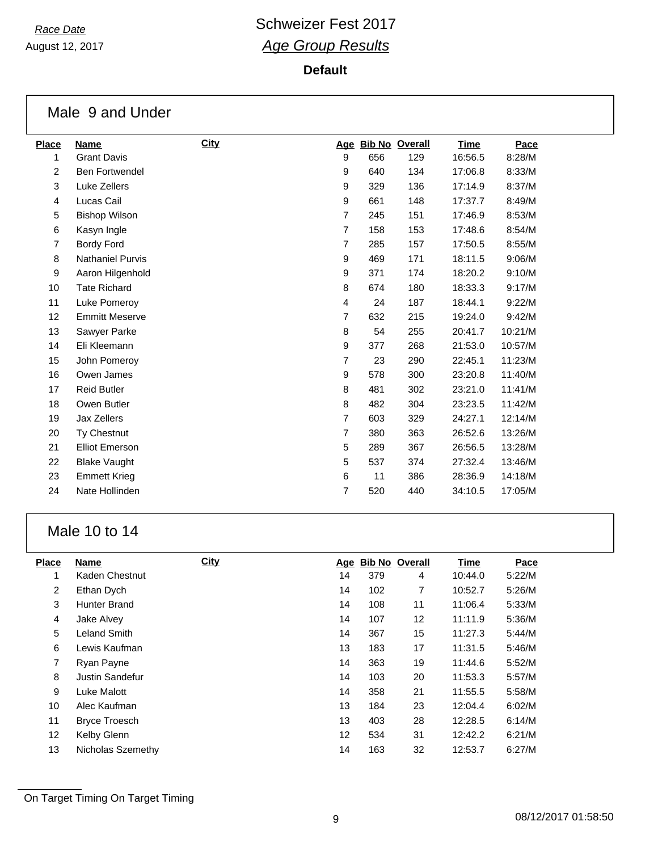August 12, 2017

#### **Default**

|                | Male 9 and Under        |             |                  |     |                    |             |         |  |
|----------------|-------------------------|-------------|------------------|-----|--------------------|-------------|---------|--|
| <b>Place</b>   | <b>Name</b>             | <b>City</b> |                  |     | Age Bib No Overall | <b>Time</b> | Pace    |  |
| 1              | <b>Grant Davis</b>      |             | 9                | 656 | 129                | 16:56.5     | 8:28/M  |  |
| $\overline{a}$ | <b>Ben Fortwendel</b>   |             | 9                | 640 | 134                | 17:06.8     | 8:33/M  |  |
| 3              | Luke Zellers            |             | 9                | 329 | 136                | 17:14.9     | 8:37/M  |  |
| 4              | Lucas Cail              |             | 9                | 661 | 148                | 17:37.7     | 8:49/M  |  |
| 5              | <b>Bishop Wilson</b>    |             | $\overline{7}$   | 245 | 151                | 17:46.9     | 8:53/M  |  |
| 6              | Kasyn Ingle             |             | $\overline{7}$   | 158 | 153                | 17:48.6     | 8:54/M  |  |
| $\overline{7}$ | <b>Bordy Ford</b>       |             | $\overline{7}$   | 285 | 157                | 17:50.5     | 8:55/M  |  |
| 8              | <b>Nathaniel Purvis</b> |             | 9                | 469 | 171                | 18:11.5     | 9:06/M  |  |
| 9              | Aaron Hilgenhold        |             | 9                | 371 | 174                | 18:20.2     | 9:10/M  |  |
| 10             | <b>Tate Richard</b>     |             | 8                | 674 | 180                | 18:33.3     | 9:17/M  |  |
| 11             | Luke Pomeroy            |             | 4                | 24  | 187                | 18:44.1     | 9:22/M  |  |
| 12             | <b>Emmitt Meserve</b>   |             | 7                | 632 | 215                | 19:24.0     | 9:42/M  |  |
| 13             | Sawyer Parke            |             | 8                | 54  | 255                | 20:41.7     | 10:21/M |  |
| 14             | Eli Kleemann            |             | $\boldsymbol{9}$ | 377 | 268                | 21:53.0     | 10:57/M |  |
| 15             | John Pomeroy            |             | $\overline{7}$   | 23  | 290                | 22:45.1     | 11:23/M |  |
| 16             | Owen James              |             | 9                | 578 | 300                | 23:20.8     | 11:40/M |  |
| 17             | <b>Reid Butler</b>      |             | 8                | 481 | 302                | 23:21.0     | 11:41/M |  |
| 18             | Owen Butler             |             | 8                | 482 | 304                | 23:23.5     | 11:42/M |  |
| 19             | Jax Zellers             |             | $\overline{7}$   | 603 | 329                | 24:27.1     | 12:14/M |  |
| 20             | Ty Chestnut             |             | 7                | 380 | 363                | 26:52.6     | 13:26/M |  |
| 21             | <b>Elliot Emerson</b>   |             | 5                | 289 | 367                | 26:56.5     | 13:28/M |  |
| 22             | <b>Blake Vaught</b>     |             | 5                | 537 | 374                | 27:32.4     | 13:46/M |  |
| 23             | <b>Emmett Krieg</b>     |             | 6                | 11  | 386                | 28:36.9     | 14:18/M |  |
| 24             | Nate Hollinden          |             | $\overline{7}$   | 520 | 440                | 34:10.5     | 17:05/M |  |

### Male 10 to 14

| <b>Place</b>      | <b>Name</b>          | <b>City</b> | <u>Age</u> |     | <b>Bib No Overall</b> | <b>Time</b> | Pace   |
|-------------------|----------------------|-------------|------------|-----|-----------------------|-------------|--------|
| 1                 | Kaden Chestnut       |             | 14         | 379 | 4                     | 10:44.0     | 5:22/M |
| 2                 | Ethan Dych           |             | 14         | 102 | 7                     | 10:52.7     | 5:26/M |
| 3                 | Hunter Brand         |             | 14         | 108 | 11                    | 11:06.4     | 5:33/M |
| $\overline{4}$    | Jake Alvey           |             | 14         | 107 | 12                    | 11:11.9     | 5:36/M |
| 5                 | <b>Leland Smith</b>  |             | 14         | 367 | 15                    | 11:27.3     | 5:44/M |
| 6                 | Lewis Kaufman        |             | 13         | 183 | 17                    | 11:31.5     | 5:46/M |
| 7                 | Ryan Payne           |             | 14         | 363 | 19                    | 11:44.6     | 5:52/M |
| 8                 | Justin Sandefur      |             | 14         | 103 | 20                    | 11:53.3     | 5:57/M |
| 9                 | Luke Malott          |             | 14         | 358 | 21                    | 11:55.5     | 5:58/M |
| 10                | Alec Kaufman         |             | 13         | 184 | 23                    | 12:04.4     | 6:02/M |
| 11                | <b>Bryce Troesch</b> |             | 13         | 403 | 28                    | 12:28.5     | 6:14/M |
| $12 \overline{ }$ | Kelby Glenn          |             | 12         | 534 | 31                    | 12:42.2     | 6:21/M |
| 13                | Nicholas Szemethy    |             | 14         | 163 | 32                    | 12:53.7     | 6:27/M |
|                   |                      |             |            |     |                       |             |        |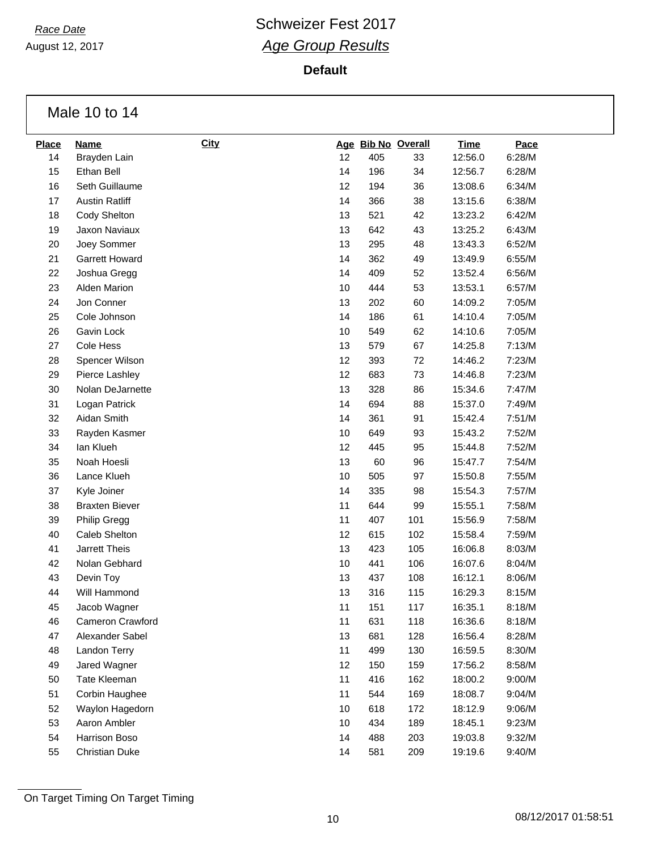August 12, 2017

**Default**

Male 10 to 14

| <b>Place</b> | <b>Name</b>           | <b>City</b> |    |     | Age Bib No Overall | <b>Time</b> | Pace   |
|--------------|-----------------------|-------------|----|-----|--------------------|-------------|--------|
| 14           | Brayden Lain          |             | 12 | 405 | 33                 | 12:56.0     | 6:28/M |
| 15           | Ethan Bell            |             | 14 | 196 | 34                 | 12:56.7     | 6:28/M |
| 16           | Seth Guillaume        |             | 12 | 194 | 36                 | 13:08.6     | 6:34/M |
| 17           | <b>Austin Ratliff</b> |             | 14 | 366 | 38                 | 13:15.6     | 6:38/M |
| 18           | Cody Shelton          |             | 13 | 521 | 42                 | 13:23.2     | 6:42/M |
| 19           | Jaxon Naviaux         |             | 13 | 642 | 43                 | 13:25.2     | 6:43/M |
| 20           | Joey Sommer           |             | 13 | 295 | 48                 | 13:43.3     | 6:52/M |
| 21           | Garrett Howard        |             | 14 | 362 | 49                 | 13:49.9     | 6:55/M |
| 22           | Joshua Gregg          |             | 14 | 409 | 52                 | 13:52.4     | 6:56/M |
| 23           | Alden Marion          |             | 10 | 444 | 53                 | 13:53.1     | 6:57/M |
| 24           | Jon Conner            |             | 13 | 202 | 60                 | 14:09.2     | 7:05/M |
| 25           | Cole Johnson          |             | 14 | 186 | 61                 | 14:10.4     | 7:05/M |
| 26           | Gavin Lock            |             | 10 | 549 | 62                 | 14:10.6     | 7:05/M |
| 27           | Cole Hess             |             | 13 | 579 | 67                 | 14:25.8     | 7:13/M |
| 28           | Spencer Wilson        |             | 12 | 393 | 72                 | 14:46.2     | 7:23/M |
| 29           | Pierce Lashley        |             | 12 | 683 | 73                 | 14:46.8     | 7:23/M |
| $30\,$       | Nolan DeJarnette      |             | 13 | 328 | 86                 | 15:34.6     | 7:47/M |
| 31           | Logan Patrick         |             | 14 | 694 | 88                 | 15:37.0     | 7:49/M |
| 32           | Aidan Smith           |             | 14 | 361 | 91                 | 15:42.4     | 7:51/M |
| 33           | Rayden Kasmer         |             | 10 | 649 | 93                 | 15:43.2     | 7:52/M |
| 34           | lan Klueh             |             | 12 | 445 | 95                 | 15:44.8     | 7:52/M |
| 35           | Noah Hoesli           |             | 13 | 60  | 96                 | 15:47.7     | 7:54/M |
| 36           | Lance Klueh           |             | 10 | 505 | 97                 | 15:50.8     | 7:55/M |
| 37           | Kyle Joiner           |             | 14 | 335 | 98                 | 15:54.3     | 7:57/M |
| 38           | <b>Braxten Biever</b> |             | 11 | 644 | 99                 | 15:55.1     | 7:58/M |
| 39           | <b>Philip Gregg</b>   |             | 11 | 407 | 101                | 15:56.9     | 7:58/M |
| 40           | Caleb Shelton         |             | 12 | 615 | 102                | 15:58.4     | 7:59/M |
| 41           | Jarrett Theis         |             | 13 | 423 | 105                | 16:06.8     | 8:03/M |
| 42           | Nolan Gebhard         |             | 10 | 441 | 106                | 16:07.6     | 8:04/M |
| 43           | Devin Toy             |             | 13 | 437 | 108                | 16:12.1     | 8:06/M |
| 44           | Will Hammond          |             | 13 | 316 | 115                | 16:29.3     | 8:15/M |
| 45           | Jacob Wagner          |             | 11 | 151 | 117                | 16:35.1     | 8:18/M |
| 46           | Cameron Crawford      |             | 11 | 631 | 118                | 16:36.6     | 8:18/M |
| 47           | Alexander Sabel       |             | 13 | 681 | 128                | 16:56.4     | 8:28/M |
| 48           | Landon Terry          |             | 11 | 499 | 130                | 16:59.5     | 8:30/M |
| 49           | Jared Wagner          |             | 12 | 150 | 159                | 17:56.2     | 8:58/M |
| 50           | Tate Kleeman          |             | 11 | 416 | 162                | 18:00.2     | 9:00/M |
| 51           | Corbin Haughee        |             | 11 | 544 | 169                | 18:08.7     | 9:04/M |
| 52           | Waylon Hagedorn       |             | 10 | 618 | 172                | 18:12.9     | 9:06/M |
| 53           | Aaron Ambler          |             | 10 | 434 | 189                | 18:45.1     | 9:23/M |
| 54           | Harrison Boso         |             | 14 | 488 | 203                | 19:03.8     | 9:32/M |
| 55           | <b>Christian Duke</b> |             | 14 | 581 | 209                | 19:19.6     | 9:40/M |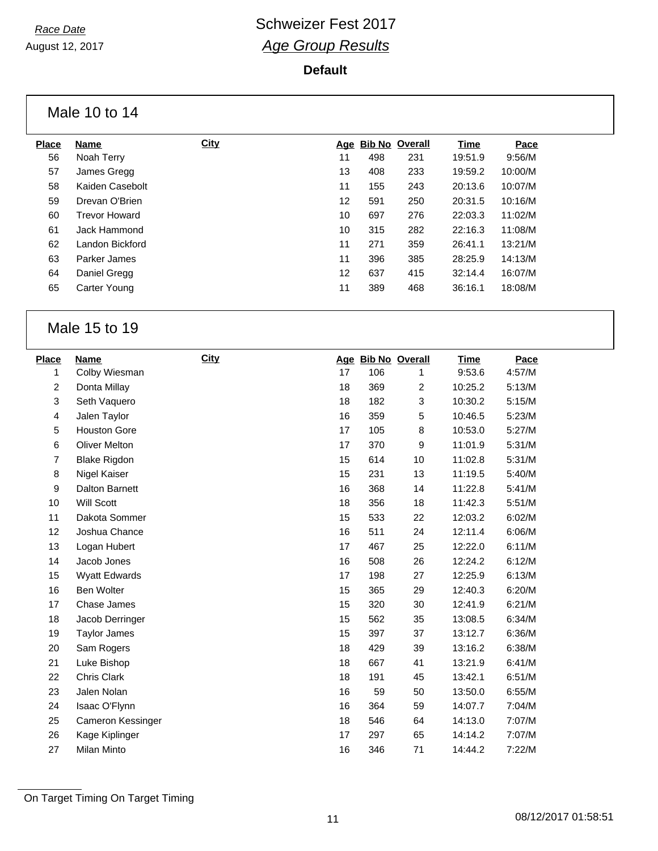#### **Default**

Male 10 to 14

| <b>Place</b> | Name                 | <b>City</b> | Aqe |     | <b>Bib No Overall</b> | <b>Time</b> | Pace    |
|--------------|----------------------|-------------|-----|-----|-----------------------|-------------|---------|
| 56           | Noah Terry           |             | 11  | 498 | 231                   | 19:51.9     | 9:56/M  |
| 57           | James Gregg          |             | 13  | 408 | 233                   | 19:59.2     | 10:00/M |
| 58           | Kaiden Casebolt      |             | 11  | 155 | 243                   | 20:13.6     | 10:07/M |
| 59           | Drevan O'Brien       |             | 12  | 591 | 250                   | 20:31.5     | 10:16/M |
| 60           | <b>Trevor Howard</b> |             | 10  | 697 | 276                   | 22:03.3     | 11:02/M |
| 61           | Jack Hammond         |             | 10  | 315 | 282                   | 22:16.3     | 11:08/M |
| 62           | Landon Bickford      |             | 11  | 271 | 359                   | 26:41.1     | 13:21/M |
| 63           | Parker James         |             | 11  | 396 | 385                   | 28:25.9     | 14:13/M |
| 64           | Daniel Gregg         |             | 12  | 637 | 415                   | 32:14.4     | 16:07/M |
| 65           | Carter Young         |             | 11  | 389 | 468                   | 36:16.1     | 18:08/M |
|              |                      |             |     |     |                       |             |         |

### Male 15 to 19

| <b>Place</b>   | Name                | <b>City</b> |    | Age Bib No Overall |                | <b>Time</b> | Pace   |
|----------------|---------------------|-------------|----|--------------------|----------------|-------------|--------|
| 1              | Colby Wiesman       |             | 17 | 106                | 1              | 9:53.6      | 4:57/M |
| $\overline{c}$ | Donta Millay        |             | 18 | 369                | $\overline{c}$ | 10:25.2     | 5:13/M |
| 3              | Seth Vaquero        |             | 18 | 182                | 3              | 10:30.2     | 5:15/M |
| 4              | Jalen Taylor        |             | 16 | 359                | 5              | 10:46.5     | 5:23/M |
| 5              | <b>Houston Gore</b> |             | 17 | 105                | 8              | 10:53.0     | 5:27/M |
| 6              | Oliver Melton       |             | 17 | 370                | 9              | 11:01.9     | 5:31/M |
| 7              | <b>Blake Rigdon</b> |             | 15 | 614                | 10             | 11:02.8     | 5:31/M |
| 8              | Nigel Kaiser        |             | 15 | 231                | 13             | 11:19.5     | 5:40/M |
| 9              | Dalton Barnett      |             | 16 | 368                | 14             | 11:22.8     | 5:41/M |
| 10             | <b>Will Scott</b>   |             | 18 | 356                | 18             | 11:42.3     | 5:51/M |
| 11             | Dakota Sommer       |             | 15 | 533                | 22             | 12:03.2     | 6:02/M |
| 12             | Joshua Chance       |             | 16 | 511                | 24             | 12:11.4     | 6:06/M |
| 13             | Logan Hubert        |             | 17 | 467                | 25             | 12:22.0     | 6:11/M |
| 14             | Jacob Jones         |             | 16 | 508                | 26             | 12:24.2     | 6:12/M |
| 15             | Wyatt Edwards       |             | 17 | 198                | 27             | 12:25.9     | 6:13/M |
| 16             | <b>Ben Wolter</b>   |             | 15 | 365                | 29             | 12:40.3     | 6:20/M |
| 17             | Chase James         |             | 15 | 320                | 30             | 12:41.9     | 6:21/M |
| 18             | Jacob Derringer     |             | 15 | 562                | 35             | 13:08.5     | 6:34/M |
| 19             | <b>Taylor James</b> |             | 15 | 397                | 37             | 13:12.7     | 6:36/M |
| 20             | Sam Rogers          |             | 18 | 429                | 39             | 13:16.2     | 6:38/M |
| 21             | Luke Bishop         |             | 18 | 667                | 41             | 13:21.9     | 6:41/M |
| 22             | Chris Clark         |             | 18 | 191                | 45             | 13:42.1     | 6:51/M |
| 23             | Jalen Nolan         |             | 16 | 59                 | 50             | 13:50.0     | 6:55/M |
| 24             | Isaac O'Flynn       |             | 16 | 364                | 59             | 14:07.7     | 7:04/M |
| 25             | Cameron Kessinger   |             | 18 | 546                | 64             | 14:13.0     | 7:07/M |
| 26             | Kage Kiplinger      |             | 17 | 297                | 65             | 14:14.2     | 7:07/M |
| 27             | Milan Minto         |             | 16 | 346                | 71             | 14:44.2     | 7:22/M |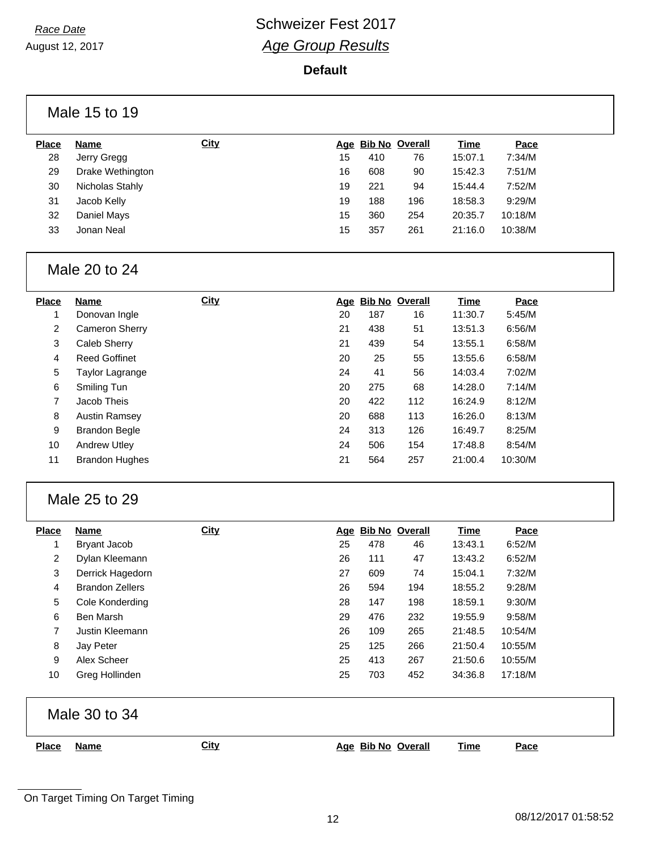August 12, 2017

#### **Default**

| <b>Place</b> | <b>Name</b>      | <b>City</b> |    |     | Age Bib No Overall | Time    | Pace    |  |
|--------------|------------------|-------------|----|-----|--------------------|---------|---------|--|
| 28           | Jerry Gregg      |             | 15 | 410 | 76                 | 15:07.1 | 7:34/M  |  |
| 29           | Drake Wethington |             | 16 | 608 | 90                 | 15:42.3 | 7:51/M  |  |
| 30           | Nicholas Stahly  |             | 19 | 221 | 94                 | 15:44.4 | 7:52/M  |  |
| 31           | Jacob Kelly      |             | 19 | 188 | 196                | 18:58.3 | 9:29/M  |  |
| 32           | Daniel Mays      |             | 15 | 360 | 254                | 20:35.7 | 10:18/M |  |
| 33           | Jonan Neal       |             | 15 | 357 | 261                | 21:16.0 | 10:38/M |  |
|              |                  |             |    |     |                    |         |         |  |

| <b>Place</b> | Name                  | <b>City</b> | Age | <b>Bib No Overall</b> |     | Time    | Pace    |
|--------------|-----------------------|-------------|-----|-----------------------|-----|---------|---------|
| 1            | Donovan Ingle         |             | 20  | 187                   | 16  | 11:30.7 | 5:45/M  |
| 2            | <b>Cameron Sherry</b> |             | 21  | 438                   | 51  | 13:51.3 | 6:56/M  |
| 3            | Caleb Sherry          |             | 21  | 439                   | 54  | 13:55.1 | 6:58/M  |
| 4            | <b>Reed Goffinet</b>  |             | 20  | 25                    | 55  | 13:55.6 | 6:58/M  |
| 5            | Taylor Lagrange       |             | 24  | 41                    | 56  | 14:03.4 | 7:02/M  |
| 6            | Smiling Tun           |             | 20  | 275                   | 68  | 14:28.0 | 7:14/M  |
| 7            | Jacob Theis           |             | 20  | 422                   | 112 | 16:24.9 | 8:12/M  |
| 8            | <b>Austin Ramsey</b>  |             | 20  | 688                   | 113 | 16:26.0 | 8:13/M  |
| 9            | <b>Brandon Begle</b>  |             | 24  | 313                   | 126 | 16:49.7 | 8:25/M  |
| 10           | <b>Andrew Utley</b>   |             | 24  | 506                   | 154 | 17:48.8 | 8:54/M  |
| 11           | <b>Brandon Hughes</b> |             | 21  | 564                   | 257 | 21:00.4 | 10:30/M |

### Male 25 to 29

| <b>Place</b> | <b>Name</b>            | <b>City</b> | Age |     | <b>Bib No Overall</b> | Time    | Pace    |
|--------------|------------------------|-------------|-----|-----|-----------------------|---------|---------|
|              | Bryant Jacob           |             | 25  | 478 | 46                    | 13:43.1 | 6:52/M  |
| 2            | Dylan Kleemann         |             | 26  | 111 | 47                    | 13:43.2 | 6:52/M  |
| 3            | Derrick Hagedorn       |             | 27  | 609 | 74                    | 15:04.1 | 7:32/M  |
| 4            | <b>Brandon Zellers</b> |             | 26  | 594 | 194                   | 18:55.2 | 9:28/M  |
| 5            | Cole Konderding        |             | 28  | 147 | 198                   | 18:59.1 | 9:30/M  |
| 6            | Ben Marsh              |             | 29  | 476 | 232                   | 19:55.9 | 9:58/M  |
| 7            | Justin Kleemann        |             | 26  | 109 | 265                   | 21:48.5 | 10:54/M |
| 8            | Jay Peter              |             | 25  | 125 | 266                   | 21:50.4 | 10:55/M |
| 9            | Alex Scheer            |             | 25  | 413 | 267                   | 21:50.6 | 10:55/M |
| 10           | Greg Hollinden         |             | 25  | 703 | 452                   | 34:36.8 | 17:18/M |

|              | Male 30 to 34 |             |                    |             |             |
|--------------|---------------|-------------|--------------------|-------------|-------------|
| <b>Place</b> | Name          | <b>City</b> | Age Bib No Overall | <b>Time</b> | <u>Pace</u> |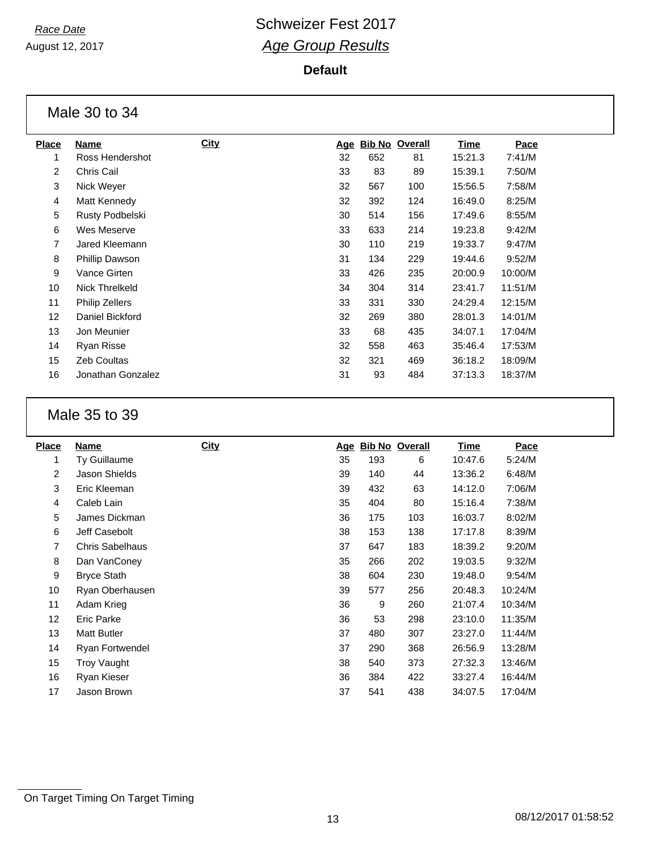August 12, 2017

#### **Default**

Male 30 to 34

| Place | <b>Name</b>           | <b>City</b> | Age | <u>Bib No</u> | Overall | <b>Time</b> | Pace    |
|-------|-----------------------|-------------|-----|---------------|---------|-------------|---------|
|       | Ross Hendershot       |             | 32  | 652           | 81      | 15:21.3     | 7:41/M  |
| 2     | Chris Cail            |             | 33  | 83            | 89      | 15:39.1     | 7:50/M  |
| 3     | Nick Weyer            |             | 32  | 567           | 100     | 15:56.5     | 7:58/M  |
| 4     | Matt Kennedy          |             | 32  | 392           | 124     | 16:49.0     | 8:25/M  |
| 5     | Rusty Podbelski       |             | 30  | 514           | 156     | 17:49.6     | 8:55/M  |
| 6     | Wes Meserve           |             | 33  | 633           | 214     | 19:23.8     | 9:42/M  |
| 7     | Jared Kleemann        |             | 30  | 110           | 219     | 19:33.7     | 9:47/M  |
| 8     | Phillip Dawson        |             | 31  | 134           | 229     | 19:44.6     | 9:52/M  |
| 9     | Vance Girten          |             | 33  | 426           | 235     | 20:00.9     | 10:00/M |
| 10    | Nick Threlkeld        |             | 34  | 304           | 314     | 23:41.7     | 11:51/M |
| 11    | <b>Philip Zellers</b> |             | 33  | 331           | 330     | 24:29.4     | 12:15/M |
| 12    | Daniel Bickford       |             | 32  | 269           | 380     | 28:01.3     | 14:01/M |
| 13    | Jon Meunier           |             | 33  | 68            | 435     | 34:07.1     | 17:04/M |
| 14    | Ryan Risse            |             | 32  | 558           | 463     | 35:46.4     | 17:53/M |
| 15    | <b>Zeb Coultas</b>    |             | 32  | 321           | 469     | 36:18.2     | 18:09/M |
| 16    | Jonathan Gonzalez     |             | 31  | 93            | 484     | 37:13.3     | 18:37/M |
|       |                       |             |     |               |         |             |         |

### Male 35 to 39

| <b>Place</b> | Name                   | <b>City</b> | Age |     | <b>Bib No Overall</b> | <u>Time</u> | Pace    |
|--------------|------------------------|-------------|-----|-----|-----------------------|-------------|---------|
| 1            | Ty Guillaume           |             | 35  | 193 | 6                     | 10:47.6     | 5:24/M  |
| 2            | Jason Shields          |             | 39  | 140 | 44                    | 13:36.2     | 6:48/M  |
| 3            | Eric Kleeman           |             | 39  | 432 | 63                    | 14:12.0     | 7:06/M  |
| 4            | Caleb Lain             |             | 35  | 404 | 80                    | 15:16.4     | 7:38/M  |
| 5            | James Dickman          |             | 36  | 175 | 103                   | 16:03.7     | 8:02/M  |
| 6            | Jeff Casebolt          |             | 38  | 153 | 138                   | 17:17.8     | 8:39/M  |
| 7            | <b>Chris Sabelhaus</b> |             | 37  | 647 | 183                   | 18:39.2     | 9:20/M  |
| 8            | Dan VanConey           |             | 35  | 266 | 202                   | 19:03.5     | 9:32/M  |
| 9            | <b>Bryce Stath</b>     |             | 38  | 604 | 230                   | 19:48.0     | 9:54/M  |
| 10           | Ryan Oberhausen        |             | 39  | 577 | 256                   | 20:48.3     | 10:24/M |
| 11           | Adam Krieg             |             | 36  | 9   | 260                   | 21:07.4     | 10:34/M |
| 12           | Eric Parke             |             | 36  | 53  | 298                   | 23:10.0     | 11:35/M |
| 13           | <b>Matt Butler</b>     |             | 37  | 480 | 307                   | 23:27.0     | 11:44/M |
| 14           | <b>Ryan Fortwendel</b> |             | 37  | 290 | 368                   | 26:56.9     | 13:28/M |
| 15           | Troy Vaught            |             | 38  | 540 | 373                   | 27:32.3     | 13:46/M |
| 16           | Ryan Kieser            |             | 36  | 384 | 422                   | 33:27.4     | 16:44/M |
| 17           | Jason Brown            |             | 37  | 541 | 438                   | 34:07.5     | 17:04/M |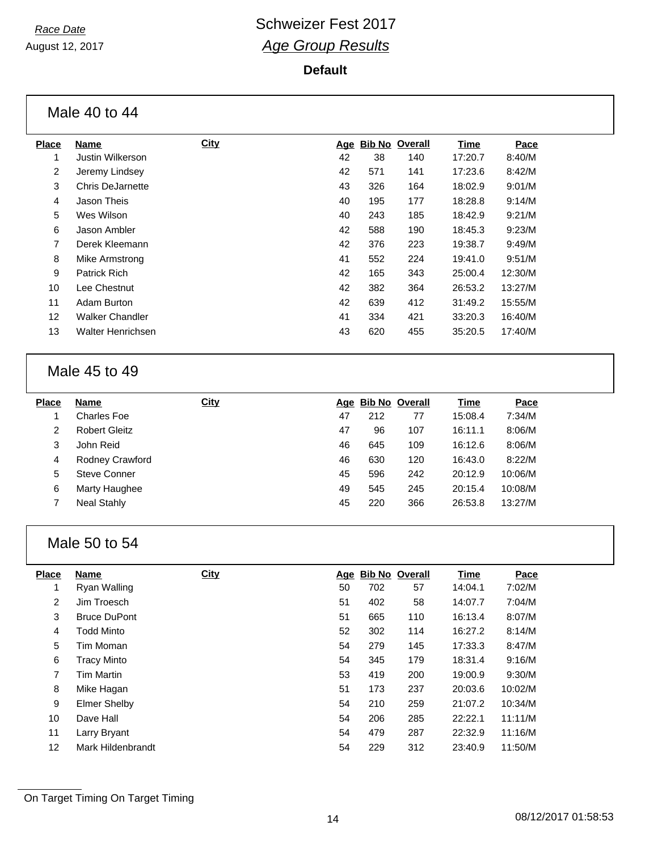August 12, 2017

#### **Default**

|                | Male 40 to 44          |             |     |               |         |         |         |  |
|----------------|------------------------|-------------|-----|---------------|---------|---------|---------|--|
| <b>Place</b>   | Name                   | <b>City</b> | Age | <b>Bib No</b> | Overall | Time    | Pace    |  |
|                | Justin Wilkerson       |             | 42  | 38            | 140     | 17:20.7 | 8:40/M  |  |
| 2              | Jeremy Lindsey         |             | 42  | 571           | 141     | 17:23.6 | 8:42/M  |  |
| 3              | Chris DeJarnette       |             | 43  | 326           | 164     | 18:02.9 | 9:01/M  |  |
| $\overline{4}$ | Jason Theis            |             | 40  | 195           | 177     | 18:28.8 | 9:14/M  |  |
| 5              | Wes Wilson             |             | 40  | 243           | 185     | 18:42.9 | 9:21/M  |  |
| 6              | Jason Ambler           |             | 42  | 588           | 190     | 18:45.3 | 9:23/M  |  |
| $\overline{7}$ | Derek Kleemann         |             | 42  | 376           | 223     | 19:38.7 | 9:49/M  |  |
| 8              | Mike Armstrong         |             | 41  | 552           | 224     | 19:41.0 | 9:51/M  |  |
| 9              | <b>Patrick Rich</b>    |             | 42  | 165           | 343     | 25:00.4 | 12:30/M |  |
| 10             | Lee Chestnut           |             | 42  | 382           | 364     | 26:53.2 | 13:27/M |  |
| 11             | Adam Burton            |             | 42  | 639           | 412     | 31:49.2 | 15:55/M |  |
| 12             | <b>Walker Chandler</b> |             | 41  | 334           | 421     | 33:20.3 | 16:40/M |  |
| 13             | Walter Henrichsen      |             | 43  | 620           | 455     | 35:20.5 | 17:40/M |  |
|                |                        |             |     |               |         |         |         |  |

### Male 45 to 49

| <b>Place</b> | <b>Name</b>          | <b>City</b> |    | Age Bib No Overall |     | <b>Time</b> | Pace    |
|--------------|----------------------|-------------|----|--------------------|-----|-------------|---------|
|              | Charles Foe          |             | 47 | 212                | 77  | 15:08.4     | 7:34/M  |
| 2            | <b>Robert Gleitz</b> |             | 47 | 96                 | 107 | 16:11.1     | 8:06/M  |
| 3            | John Reid            |             | 46 | 645                | 109 | 16:12.6     | 8:06/M  |
| 4            | Rodney Crawford      |             | 46 | 630                | 120 | 16:43.0     | 8:22/M  |
| 5            | Steve Conner         |             | 45 | 596                | 242 | 20:12.9     | 10:06/M |
| 6            | Marty Haughee        |             | 49 | 545                | 245 | 20:15.4     | 10:08/M |
|              | <b>Neal Stahly</b>   |             | 45 | 220                | 366 | 26:53.8     | 13:27/M |
|              |                      |             |    |                    |     |             |         |

### Male 50 to 54

| <b>Place</b> | Name                | <b>City</b> |    | Age Bib No Overall |     | Time    | Pace    |
|--------------|---------------------|-------------|----|--------------------|-----|---------|---------|
|              | Ryan Walling        |             | 50 | 702                | 57  | 14:04.1 | 7:02/M  |
| 2            | Jim Troesch         |             | 51 | 402                | 58  | 14:07.7 | 7:04/M  |
| 3            | <b>Bruce DuPont</b> |             | 51 | 665                | 110 | 16:13.4 | 8:07/M  |
| 4            | Todd Minto          |             | 52 | 302                | 114 | 16:27.2 | 8:14/M  |
| 5            | Tim Moman           |             | 54 | 279                | 145 | 17:33.3 | 8:47/M  |
| 6            | <b>Tracy Minto</b>  |             | 54 | 345                | 179 | 18:31.4 | 9:16/M  |
| 7            | Tim Martin          |             | 53 | 419                | 200 | 19:00.9 | 9:30/M  |
| 8            | Mike Hagan          |             | 51 | 173                | 237 | 20:03.6 | 10:02/M |
| 9            | Elmer Shelby        |             | 54 | 210                | 259 | 21:07.2 | 10:34/M |
| 10           | Dave Hall           |             | 54 | 206                | 285 | 22:22.1 | 11:11/M |
| 11           | Larry Bryant        |             | 54 | 479                | 287 | 22:32.9 | 11:16/M |
| 12           | Mark Hildenbrandt   |             | 54 | 229                | 312 | 23:40.9 | 11:50/M |